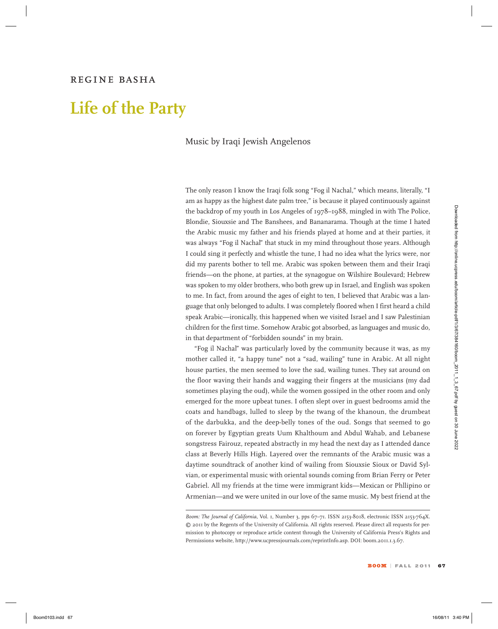### *regine basha*

# **Life of the Party**

#### Music by Iraqi Jewish Angelenos

The only reason I know the Iraqi folk song "Fog il Nachal," which means, literally, "I am as happy as the highest date palm tree," is because it played continuously against the backdrop of my youth in Los Angeles of 1978–1988, mingled in with The Police, Blondie, Siouxsie and The Banshees, and Bananarama. Though at the time I hated the Arabic music my father and his friends played at home and at their parties, it was always "Fog il Nachal" that stuck in my mind throughout those years. Although I could sing it perfectly and whistle the tune, I had no idea what the lyrics were, nor did my parents bother to tell me. Arabic was spoken between them and their Iraqi friends—on the phone, at parties, at the synagogue on Wilshire Boulevard; Hebrew was spoken to my older brothers, who both grew up in Israel, and English was spoken to me. In fact, from around the ages of eight to ten, I believed that Arabic was a language that only belonged to adults. I was completely floored when I first heard a child speak Arabic—ironically, this happened when we visited Israel and I saw Palestinian children for the first time. Somehow Arabic got absorbed, as languages and music do, in that department of "forbidden sounds" in my brain.

"Fog il Nachal" was particularly loved by the community because it was, as my mother called it, "a happy tune" not a "sad, wailing" tune in Arabic. At all night house parties, the men seemed to love the sad, wailing tunes. They sat around on the floor waving their hands and wagging their fingers at the musicians (my dad sometimes playing the oud), while the women gossiped in the other room and only emerged for the more upbeat tunes. I often slept over in guest bedrooms amid the coats and handbags, lulled to sleep by the twang of the khanoun, the drumbeat of the darbukka, and the deep-belly tones of the oud. Songs that seemed to go on forever by Egyptian greats Uum Khalthoum and Abdul Wahab, and Lebanese songstress Fairouz, repeated abstractly in my head the next day as I attended dance class at Beverly Hills High. Layered over the remnants of the Arabic music was a daytime soundtrack of another kind of wailing from Siouxsie Sioux or David Sylvian, or experimental music with oriental sounds coming from Brian Ferry or Peter Gabriel. All my friends at the time were immigrant kids—Mexican or Phllipino or Armenian—and we were united in our love of the same music. My best friend at the For hosting of the priori is to Angeles of 1978 and the material is the state of the state of the state of the state of the state of the state of the state of the state of the state of the state of the state of the state

*Boom: The Journal of California,* Vol. 1, Number 3, pps 67–71. ISSN 2153-8018, electronic ISSN 2153-764X. © 2011 by the Regents of the University of California. All rights reserved. Please direct all requests for permission to photocopy or reproduce article content through the University of California Press's Rights and Permissions website, http://www.ucpressjournals.com/reprintInfo.asp. DOI: boom.2011.1.3.67.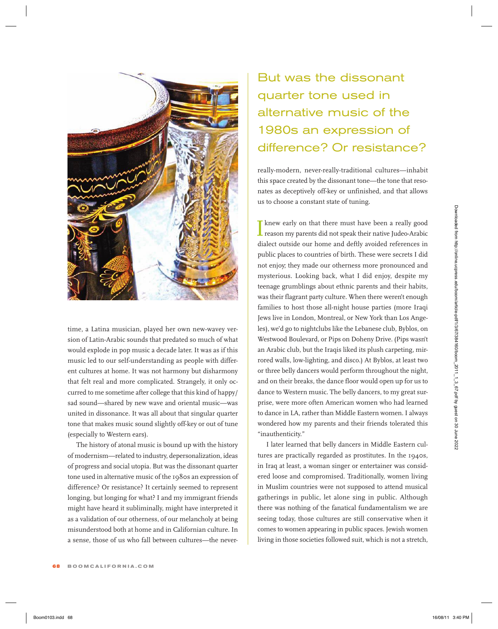

time, a Latina musician, played her own new-wavey version of Latin-Arabic sounds that predated so much of what would explode in pop music a decade later. It was as if this music led to our self-understanding as people with different cultures at home. It was not harmony but disharmony that felt real and more complicated. Strangely, it only occurred to me sometime after college that this kind of happy/ sad sound—shared by new wave and oriental music—was united in dissonance. It was all about that singular quarter tone that makes music sound slightly off-key or out of tune (especially to Western ears).

The history of atonal music is bound up with the history of modernism—related to industry, depersonalization, ideas of progress and social utopia. But was the dissonant quarter tone used in alternative music of the 1980s an expression of difference? Or resistance? It certainly seemed to represent longing, but longing for what? I and my immigrant friends might have heard it subliminally, might have interpreted it as a validation of our otherness, of our melancholy at being misunderstood both at home and in Californian culture. In a sense, those of us who fall between cultures—the never-

## But was the dissonant quarter tone used in alternative music of the 1980s an expression of difference? Or resistance?

really-modern, never-really-traditional cultures—inhabit this space created by the dissonant tone—the tone that resonates as deceptively off-key or unfinished, and that allows us to choose a constant state of tuning.

I knew early on that there must have been a really good **L** reason my parents did not speak their native Judeo-Arabic dialect outside our home and deftly avoided references in public places to countries of birth. These were secrets I did not enjoy; they made our otherness more pronounced and mysterious. Looking back, what I did enjoy, despite my teenage grumblings about ethnic parents and their habits, was their flagrant party culture. When there weren't enough families to host those all-night house parties (more Iraqi Jews live in London, Montreal, or New York than Los Angeles), we'd go to nightclubs like the Lebanese club, Byblos, on Westwood Boulevard, or Pips on Doheny Drive. (Pips wasn't an Arabic club, but the Iraqis liked its plush carpeting, mirrored walls, low-lighting, and disco.) At Byblos, at least two or three belly dancers would perform throughout the night, and on their breaks, the dance floor would open up for us to dance to Western music. The belly dancers, to my great surprise, were more often American women who had learned to dance in LA, rather than Middle Eastern women. I always wondered how my parents and their friends tolerated this "inauthenticity."  $[{\bf 1}]$ <br> **Boom can be defined from the space of the system from the space of the results and the system of the system in the system of the system of the system of the system of the system of the system of the system of** 

I later learned that belly dancers in Middle Eastern cultures are practically regarded as prostitutes. In the 1940s, in Iraq at least, a woman singer or entertainer was considered loose and compromised. Traditionally, women living in Muslim countries were not supposed to attend musical gatherings in public, let alone sing in public. Although there was nothing of the fanatical fundamentalism we are seeing today, those cultures are still conservative when it comes to women appearing in public spaces. Jewish women living in those societies followed suit, which is not a stretch,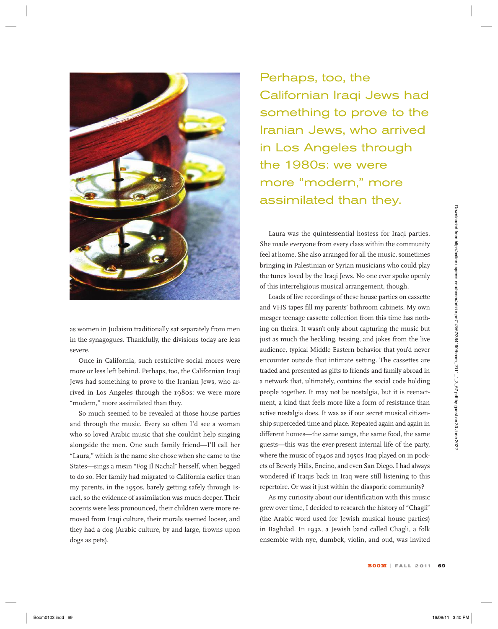

as women in Judaism traditionally sat separately from men in the synagogues. Thankfully, the divisions today are less severe.

Once in California, such restrictive social mores were more or less left behind. Perhaps, too, the Californian Iraqi Jews had something to prove to the Iranian Jews, who arrived in Los Angeles through the 1980s: we were more "modern," more assimilated than they.

So much seemed to be revealed at those house parties and through the music. Every so often I'd see a woman who so loved Arabic music that she couldn't help singing alongside the men. One such family friend—I'll call her "Laura," which is the name she chose when she came to the States—sings a mean "Fog Il Nachal" herself, when begged to do so. Her family had migrated to California earlier than my parents, in the 1950s, barely getting safely through Israel, so the evidence of assimilation was much deeper. Their accents were less pronounced, their children were more removed from Iraqi culture, their morals seemed looser, and they had a dog (Arabic culture, by and large, frowns upon dogs as pets).

Perhaps, too, the Californian Iraqi Jews had something to prove to the Iranian Jews, who arrived in Los Angeles through the 1980s: we were more "modern," more assimilated than they.

Laura was the quintessential hostess for Iraqi parties. She made everyone from every class within the community feel at home. She also arranged for all the music, sometimes bringing in Palestinian or Syrian musicians who could play the tunes loved by the Iraqi Jews. No one ever spoke openly of this interreligious musical arrangement, though.

Loads of live recordings of these house parties on cassette and VHS tapes fill my parents' bathroom cabinets. My own meager teenage cassette collection from this time has nothing on theirs. It wasn't only about capturing the music but just as much the heckling, teasing, and jokes from the live audience, typical Middle Eastern behavior that you'd never encounter outside that intimate setting. The cassettes are traded and presented as gifts to friends and family abroad in a network that, ultimately, contains the social code holding people together. It may not be nostalgia, but it is reenactment, a kind that feels more like a form of resistance than active nostalgia does. It was as if our secret musical citizenship superceded time and place. Repeated again and again in different homes—the same songs, the same food, the same guests—this was the ever-present internal life of the party, where the music of 1940s and 1950s Iraq played on in pockets of Beverly Hills, Encino, and even San Diego.I had always wondered if Iraqis back in Iraq were still listening to this repertoire. Or was it just within the diasporic community? Examples are the prime sort of the prime sort of the prime some of the prime solution of the prime of the stationary of the content of the stationary of the stationary of the stationary of the stationary of the stationary

As my curiosity about our identification with this music grew over time, I decided to research the history of "Chagli" (the Arabic word used for Jewish musical house parties) in Baghdad. In 1932, a Jewish band called Chagli, a folk ensemble with nye, dumbek, violin, and oud, was invited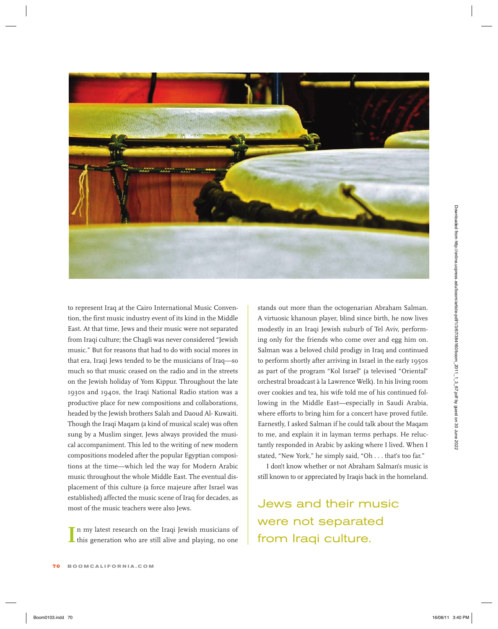

to represent Iraq at the Cairo International Music Convention, the first music industry event of its kind in the Middle East. At that time, Jews and their music were not separated from Iraqi culture; the Chagli was never considered "Jewish music." But for reasons that had to do with social mores in that era, Iraqi Jews tended to be the musicians of Iraq—so much so that music ceased on the radio and in the streets on the Jewish holiday of Yom Kippur. Throughout the late 1930s and 1940s, the Iraqi National Radio station was a productive place for new compositions and collaborations, headed by the Jewish brothers Salah and Daoud Al- Kuwaiti. Though the Iraqi Maqam (a kind of musical scale) was often sung by a Muslim singer, Jews always provided the musical accompaniment. This led to the writing of new modern compositions modeled after the popular Egyptian compositions at the time—which led the way for Modern Arabic music throughout the whole Middle East. The eventual displacement of this culture (a force majeure after Israel was established) affected the music scene of Iraq for decades, as most of the music teachers were also Jews. **Book Control 20 16/08/11 3:40** 11 3:40 PM Downloaded Music Converte in the control and properties of the control and the control and the control and the control and the control and the control and the control and the con

In my latest research on the Iraqi Jewish musicians of this generation who are still alive and playing, no one this generation who are still alive and playing, no one stands out more than the octogenarian Abraham Salman. A virtuosic khanoun player, blind since birth, he now lives modestly in an Iraqi Jewish suburb of Tel Aviv, performing only for the friends who come over and egg him on. Salman was a beloved child prodigy in Iraq and continued to perform shortly after arriving in Israel in the early 1950s as part of the program "Kol Israel" (a televised "Oriental" orchestral broadcast à la Lawrence Welk). In his living room over cookies and tea, his wife told me of his continued following in the Middle East—especially in Saudi Arabia, where efforts to bring him for a concert have proved futile. Earnestly, I asked Salman if he could talk about the Maqam to me, and explain it in layman terms perhaps. He reluctantly responded in Arabic by asking where I lived. When I stated, "New York," he simply said, "Oh . . . that's too far."

I don't know whether or not Abraham Salman's music is still known to or appreciated by Iraqis back in the homeland.

Jews and their music were not separated from Iraqi culture.